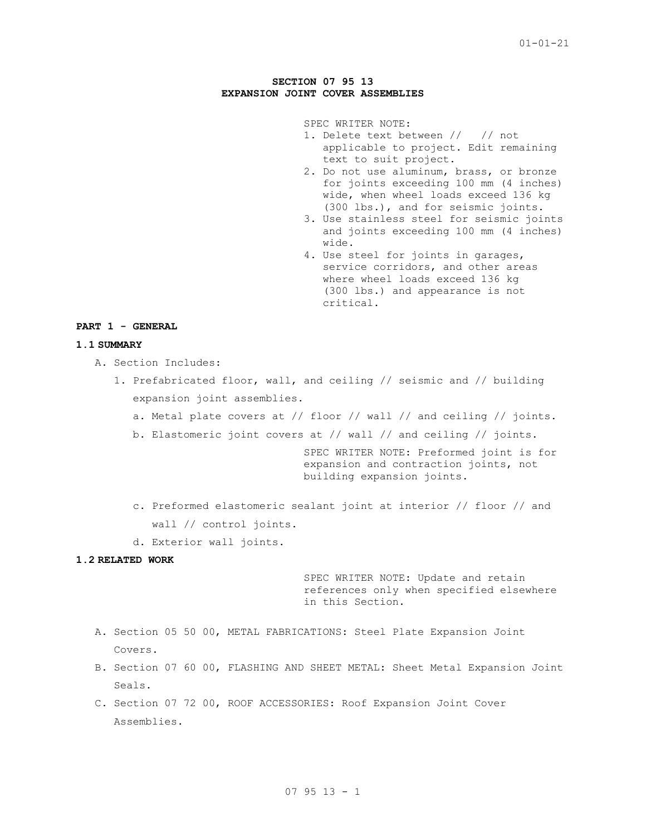# **SECTION 07 95 13 EXPANSION JOINT COVER ASSEMBLIES**

SPEC WRITER NOTE:

- 1. Delete text between // // not applicable to project. Edit remaining text to suit project.
- 2. Do not use aluminum, brass, or bronze for joints exceeding 100 mm (4 inches) wide, when wheel loads exceed 136 kg (300 lbs.), and for seismic joints.
- 3. Use stainless steel for seismic joints and joints exceeding 100 mm (4 inches) wide.
- 4. Use steel for joints in garages, service corridors, and other areas where wheel loads exceed 136 kg (300 lbs.) and appearance is not critical.

# **PART 1 - GENERAL**

# **1.1 SUMMARY**

- A. Section Includes:
	- 1. Prefabricated floor, wall, and ceiling // seismic and // building expansion joint assemblies.
		- a. Metal plate covers at // floor // wall // and ceiling // joints.
		- b. Elastomeric joint covers at // wall // and ceiling // joints.

SPEC WRITER NOTE: Preformed joint is for expansion and contraction joints, not building expansion joints.

- c. Preformed elastomeric sealant joint at interior // floor // and wall // control joints.
- d. Exterior wall joints.

## **1.2 RELATED WORK**

SPEC WRITER NOTE: Update and retain references only when specified elsewhere in this Section.

- A. Section 05 50 00, METAL FABRICATIONS: Steel Plate Expansion Joint Covers.
- B. Section 07 60 00, FLASHING AND SHEET METAL: Sheet Metal Expansion Joint Seals.
- C. Section 07 72 00, ROOF ACCESSORIES: Roof Expansion Joint Cover Assemblies.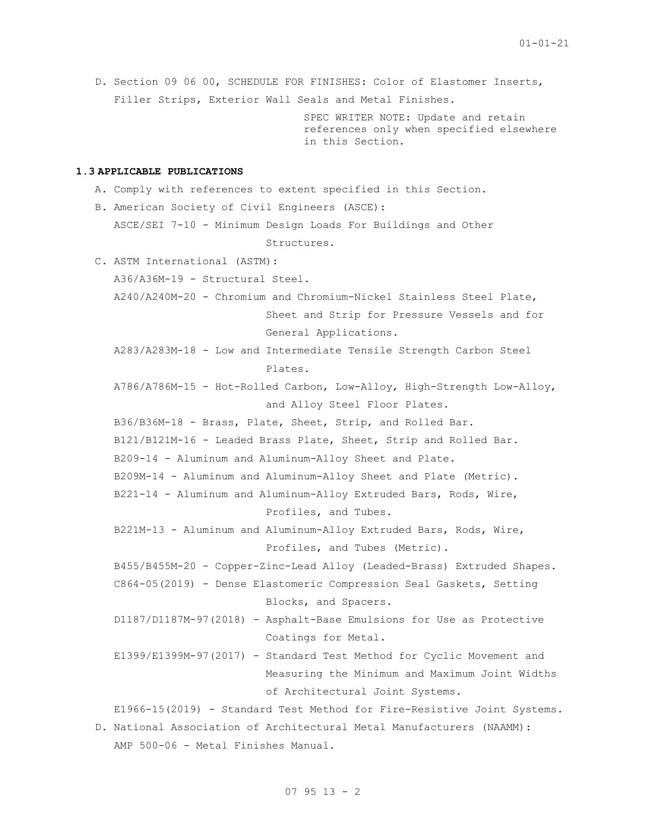```
D. Section 09 06 00, SCHEDULE FOR FINISHES: Color of Elastomer Inserts, 
      Filler Strips, Exterior Wall Seals and Metal Finishes.
                                    SPEC WRITER NOTE: Update and retain 
                                    references only when specified elsewhere 
                                    in this Section.
1.3 APPLICABLE PUBLICATIONS
   A. Comply with references to extent specified in this Section.
   B. American Society of Civil Engineers (ASCE):
      ASCE/SEI 7-10 - Minimum Design Loads For Buildings and Other 
                              Structures.
   C. ASTM International (ASTM):
      A36/A36M-19 - Structural Steel.
      A240/A240M-20 - Chromium and Chromium-Nickel Stainless Steel Plate, 
                              Sheet and Strip for Pressure Vessels and for 
                              General Applications.
      A283/A283M-18 - Low and Intermediate Tensile Strength Carbon Steel 
                              Plates.
      A786/A786M-15 - Hot-Rolled Carbon, Low-Alloy, High-Strength Low-Alloy, 
                              and Alloy Steel Floor Plates.
      B36/B36M-18 - Brass, Plate, Sheet, Strip, and Rolled Bar.
      B121/B121M-16 - Leaded Brass Plate, Sheet, Strip and Rolled Bar.
      B209-14 - Aluminum and Aluminum-Alloy Sheet and Plate.
      B209M-14 - Aluminum and Aluminum-Alloy Sheet and Plate (Metric).
      B221-14 - Aluminum and Aluminum-Alloy Extruded Bars, Rods, Wire, 
                              Profiles, and Tubes.
      B221M-13 - Aluminum and Aluminum-Alloy Extruded Bars, Rods, Wire, 
                              Profiles, and Tubes (Metric).
      B455/B455M-20 - Copper-Zinc-Lead Alloy (Leaded-Brass) Extruded Shapes.
      C864-05(2019) - Dense Elastomeric Compression Seal Gaskets, Setting 
                              Blocks, and Spacers.
      D1187/D1187M-97(2018) - Asphalt-Base Emulsions for Use as Protective 
                              Coatings for Metal.
      E1399/E1399M-97(2017) - Standard Test Method for Cyclic Movement and 
                              Measuring the Minimum and Maximum Joint Widths 
                              of Architectural Joint Systems.
      E1966-15(2019) - Standard Test Method for Fire-Resistive Joint Systems.
```
D. National Association of Architectural Metal Manufacturers (NAAMM): AMP 500-06 - Metal Finishes Manual.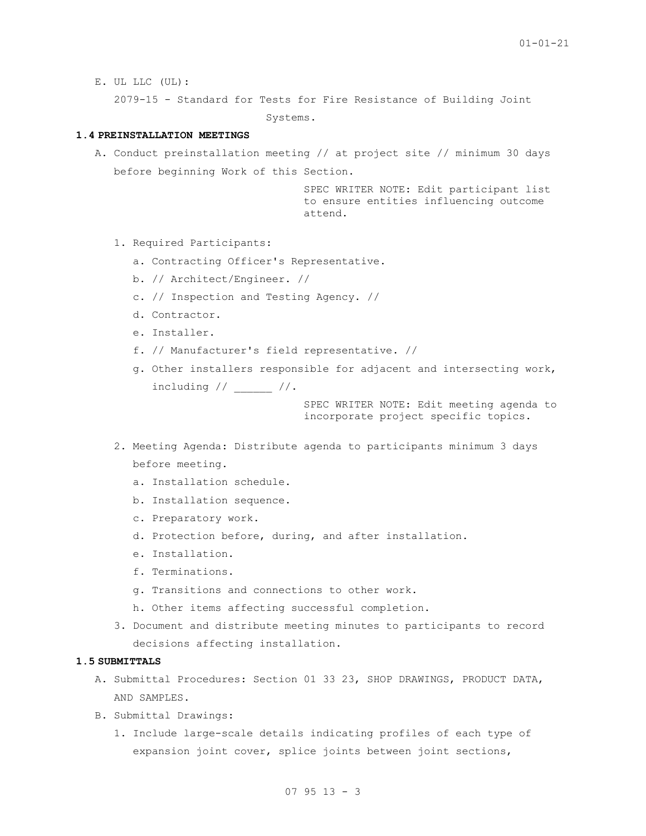E. UL LLC (UL):

2079-15 - Standard for Tests for Fire Resistance of Building Joint

Systems.

## **1.4 PREINSTALLATION MEETINGS**

A. Conduct preinstallation meeting // at project site // minimum 30 days before beginning Work of this Section.

> SPEC WRITER NOTE: Edit participant list to ensure entities influencing outcome attend.

- 1. Required Participants:
	- a. Contracting Officer's Representative.
	- b. // Architect/Engineer. //
	- c. // Inspection and Testing Agency. //
	- d. Contractor.
	- e. Installer.
	- f. // Manufacturer's field representative. //
	- g. Other installers responsible for adjacent and intersecting work, including  $//$  //.

SPEC WRITER NOTE: Edit meeting agenda to incorporate project specific topics.

- 2. Meeting Agenda: Distribute agenda to participants minimum 3 days before meeting.
	- a. Installation schedule.
	- b. Installation sequence.
	- c. Preparatory work.
	- d. Protection before, during, and after installation.
	- e. Installation.
	- f. Terminations.
	- g. Transitions and connections to other work.
	- h. Other items affecting successful completion.
- 3. Document and distribute meeting minutes to participants to record decisions affecting installation.

# **1.5 SUBMITTALS**

- A. Submittal Procedures: Section 01 33 23, SHOP DRAWINGS, PRODUCT DATA, AND SAMPLES.
- B. Submittal Drawings:
	- 1. Include large-scale details indicating profiles of each type of expansion joint cover, splice joints between joint sections,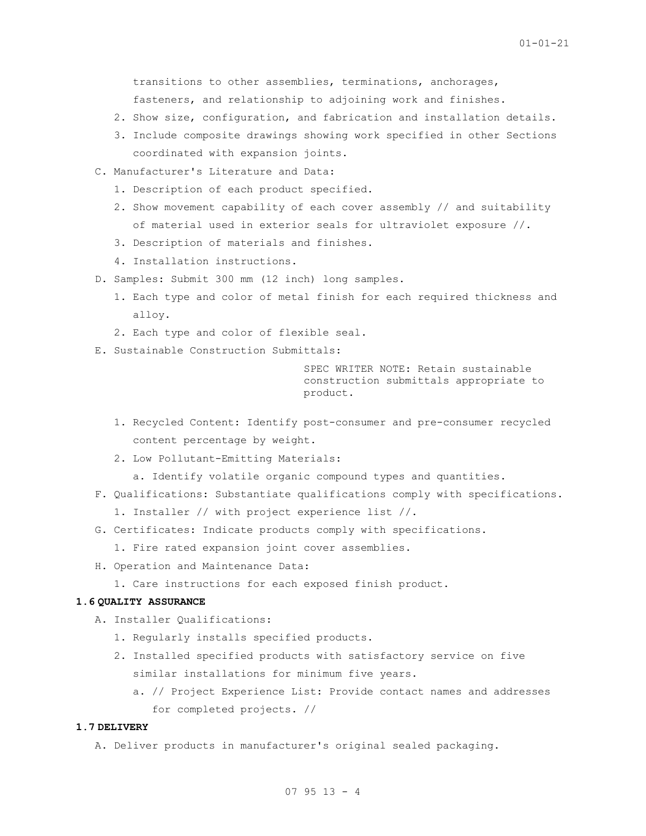transitions to other assemblies, terminations, anchorages, fasteners, and relationship to adjoining work and finishes.

- 2. Show size, configuration, and fabrication and installation details.
- 3. Include composite drawings showing work specified in other Sections coordinated with expansion joints.
- C. Manufacturer's Literature and Data:
	- 1. Description of each product specified.
	- 2. Show movement capability of each cover assembly // and suitability of material used in exterior seals for ultraviolet exposure //.
	- 3. Description of materials and finishes.
	- 4. Installation instructions.
- D. Samples: Submit 300 mm (12 inch) long samples.
	- 1. Each type and color of metal finish for each required thickness and alloy.
	- 2. Each type and color of flexible seal.
- E. Sustainable Construction Submittals:

SPEC WRITER NOTE: Retain sustainable construction submittals appropriate to product.

- 1. Recycled Content: Identify post-consumer and pre-consumer recycled content percentage by weight.
- 2. Low Pollutant-Emitting Materials:
	- a. Identify volatile organic compound types and quantities.
- F. Qualifications: Substantiate qualifications comply with specifications.
	- 1. Installer // with project experience list //.
- G. Certificates: Indicate products comply with specifications.

1. Fire rated expansion joint cover assemblies.

- H. Operation and Maintenance Data:
	- 1. Care instructions for each exposed finish product.

# **1.6 QUALITY ASSURANCE**

- A. Installer Qualifications:
	- 1. Regularly installs specified products.
	- 2. Installed specified products with satisfactory service on five similar installations for minimum five years.
		- a. // Project Experience List: Provide contact names and addresses for completed projects. //

#### **1.7 DELIVERY**

A. Deliver products in manufacturer's original sealed packaging.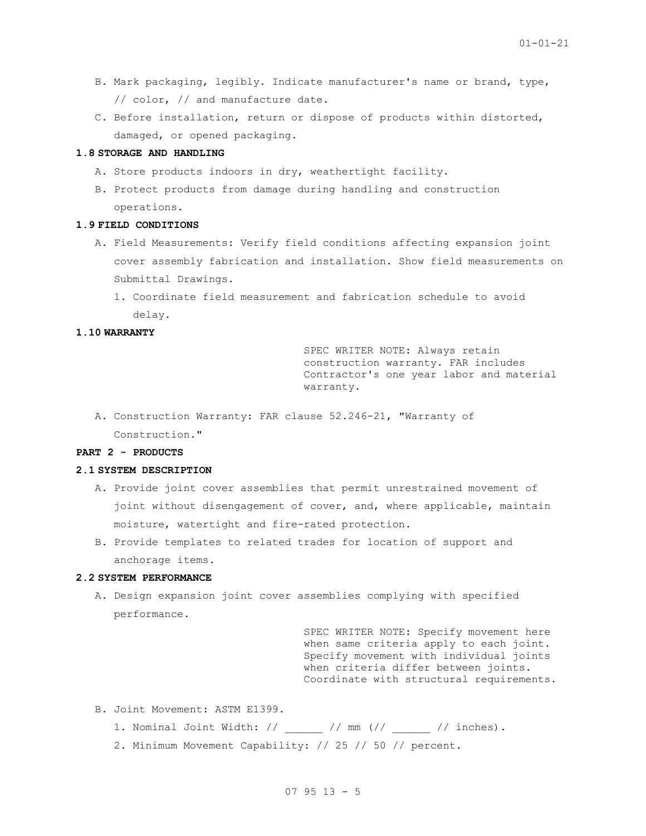- B. Mark packaging, legibly. Indicate manufacturer's name or brand, type, // color, // and manufacture date.
- C. Before installation, return or dispose of products within distorted, damaged, or opened packaging.

#### **1.8 STORAGE AND HANDLING**

- A. Store products indoors in dry, weathertight facility.
- B. Protect products from damage during handling and construction operations.

### **1.9 FIELD CONDITIONS**

- A. Field Measurements: Verify field conditions affecting expansion joint cover assembly fabrication and installation. Show field measurements on Submittal Drawings.
	- 1. Coordinate field measurement and fabrication schedule to avoid delay.

# **1.10 WARRANTY**

SPEC WRITER NOTE: Always retain construction warranty. FAR includes Contractor's one year labor and material warranty.

A. Construction Warranty: FAR clause 52.246-21, "Warranty of Construction."

# **PART 2 - PRODUCTS**

# **2.1 SYSTEM DESCRIPTION**

- A. Provide joint cover assemblies that permit unrestrained movement of joint without disengagement of cover, and, where applicable, maintain moisture, watertight and fire-rated protection.
- B. Provide templates to related trades for location of support and anchorage items.

#### **2.2 SYSTEM PERFORMANCE**

A. Design expansion joint cover assemblies complying with specified performance.

> SPEC WRITER NOTE: Specify movement here when same criteria apply to each joint. Specify movement with individual joints when criteria differ between joints. Coordinate with structural requirements.

- B. Joint Movement: ASTM E1399.
	- 1. Nominal Joint Width:  $//$   $//$  mm  $//$   $//$  inches).
	- 2. Minimum Movement Capability: // 25 // 50 // percent.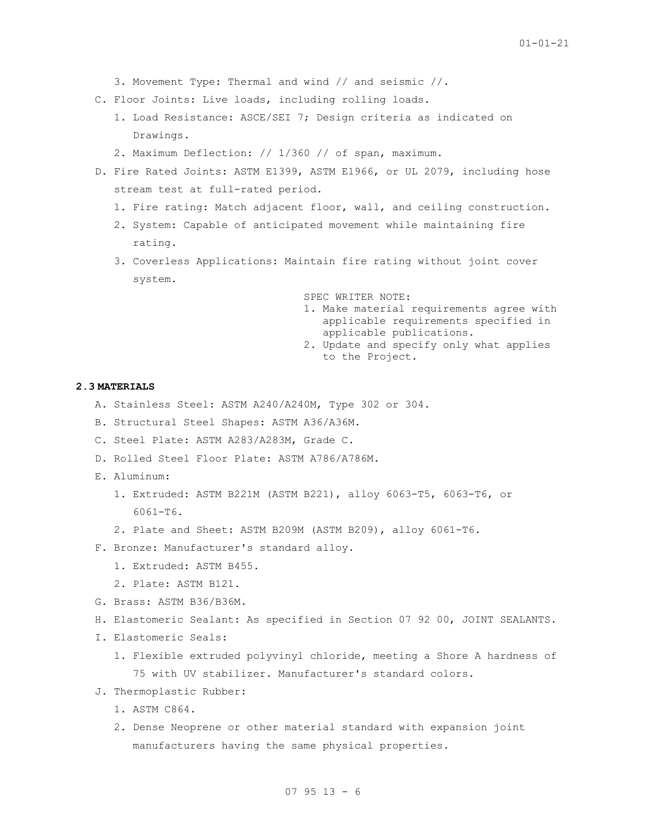- 3. Movement Type: Thermal and wind // and seismic //.
- C. Floor Joints: Live loads, including rolling loads.
	- 1. Load Resistance: ASCE/SEI 7; Design criteria as indicated on Drawings.
	- 2. Maximum Deflection: // 1/360 // of span, maximum.
- D. Fire Rated Joints: ASTM E1399, ASTM E1966, or UL 2079, including hose stream test at full-rated period.
	- 1. Fire rating: Match adjacent floor, wall, and ceiling construction.
	- 2. System: Capable of anticipated movement while maintaining fire rating.
	- 3. Coverless Applications: Maintain fire rating without joint cover system.

SPEC WRITER NOTE: 1. Make material requirements agree with applicable requirements specified in applicable publications. 2. Update and specify only what applies to the Project.

### **2.3 MATERIALS**

- A. Stainless Steel: ASTM A240/A240M, Type 302 or 304.
- B. Structural Steel Shapes: ASTM A36/A36M.
- C. Steel Plate: ASTM A283/A283M, Grade C.
- D. Rolled Steel Floor Plate: ASTM A786/A786M.
- E. Aluminum:
	- 1. Extruded: ASTM B221M (ASTM B221), alloy 6063-T5, 6063-T6, or 6061-T6.
	- 2. Plate and Sheet: ASTM B209M (ASTM B209), alloy 6061-T6.
- F. Bronze: Manufacturer's standard alloy.
	- 1. Extruded: ASTM B455.
	- 2. Plate: ASTM B121.
- G. Brass: ASTM B36/B36M.
- H. Elastomeric Sealant: As specified in Section 07 92 00, JOINT SEALANTS.
- I. Elastomeric Seals:
	- 1. Flexible extruded polyvinyl chloride, meeting a Shore A hardness of 75 with UV stabilizer. Manufacturer's standard colors.
- J. Thermoplastic Rubber:
	- 1. ASTM C864.
	- 2. Dense Neoprene or other material standard with expansion joint manufacturers having the same physical properties.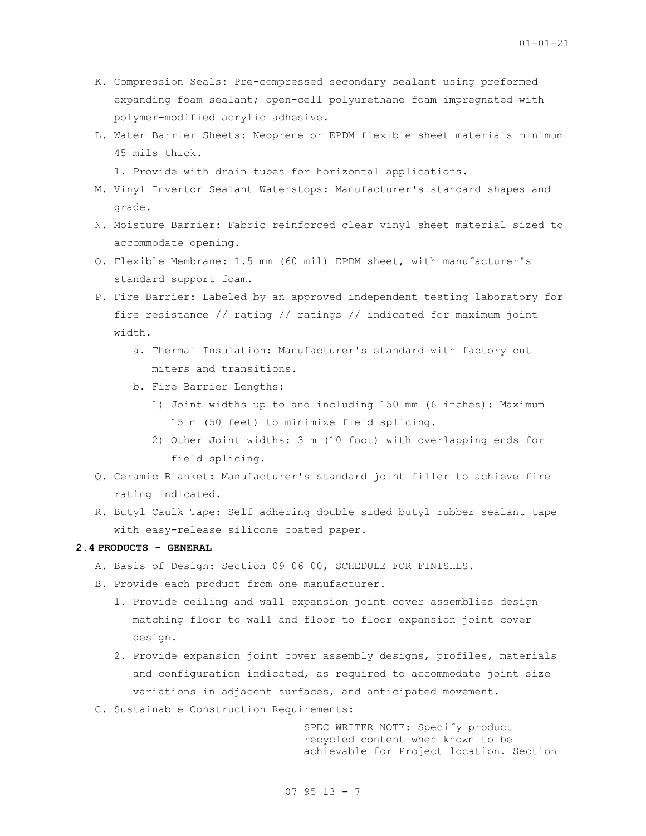- K. Compression Seals: Pre-compressed secondary sealant using preformed expanding foam sealant; open-cell polyurethane foam impregnated with polymer-modified acrylic adhesive.
- L. Water Barrier Sheets: Neoprene or EPDM flexible sheet materials minimum 45 mils thick.
	- 1. Provide with drain tubes for horizontal applications.
- M. Vinyl Invertor Sealant Waterstops: Manufacturer's standard shapes and grade.
- N. Moisture Barrier: Fabric reinforced clear vinyl sheet material sized to accommodate opening.
- O. Flexible Membrane: 1.5 mm (60 mil) EPDM sheet, with manufacturer's standard support foam.
- P. Fire Barrier: Labeled by an approved independent testing laboratory for fire resistance // rating // ratings // indicated for maximum joint width.
	- a. Thermal Insulation: Manufacturer's standard with factory cut miters and transitions.
	- b. Fire Barrier Lengths:
		- 1) Joint widths up to and including 150 mm (6 inches): Maximum 15 m (50 feet) to minimize field splicing.
		- 2) Other Joint widths: 3 m (10 foot) with overlapping ends for field splicing.
- Q. Ceramic Blanket: Manufacturer's standard joint filler to achieve fire rating indicated.
- R. Butyl Caulk Tape: Self adhering double sided butyl rubber sealant tape with easy-release silicone coated paper.

## **2.4 PRODUCTS - GENERAL**

- A. Basis of Design: Section 09 06 00, SCHEDULE FOR FINISHES.
- B. Provide each product from one manufacturer.
	- 1. Provide ceiling and wall expansion joint cover assemblies design matching floor to wall and floor to floor expansion joint cover design.
	- 2. Provide expansion joint cover assembly designs, profiles, materials and configuration indicated, as required to accommodate joint size variations in adjacent surfaces, and anticipated movement.
- C. Sustainable Construction Requirements:

SPEC WRITER NOTE: Specify product recycled content when known to be achievable for Project location. Section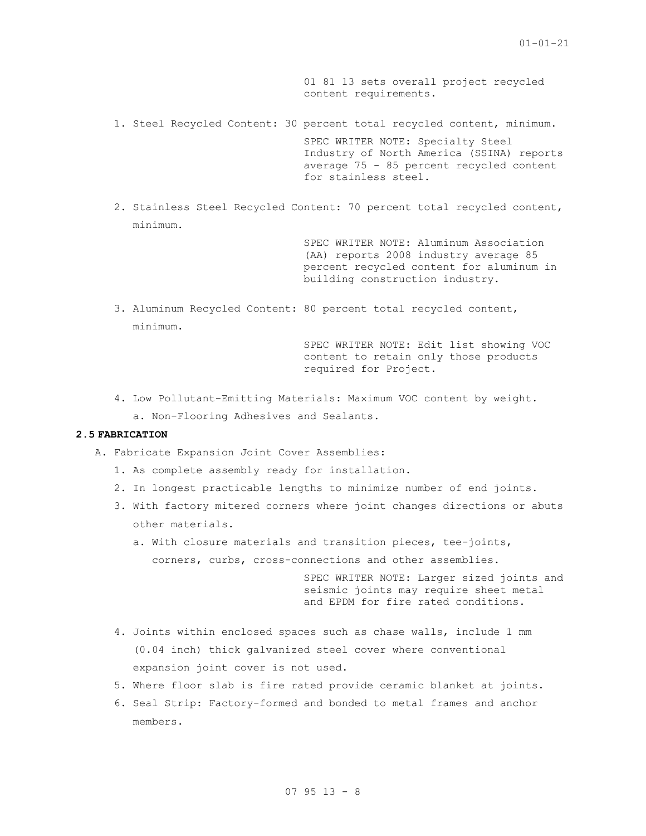01 81 13 sets overall project recycled content requirements.

- 1. Steel Recycled Content: 30 percent total recycled content, minimum. SPEC WRITER NOTE: Specialty Steel Industry of North America (SSINA) reports average 75 - 85 percent recycled content for stainless steel.
- 2. Stainless Steel Recycled Content: 70 percent total recycled content, minimum.

SPEC WRITER NOTE: Aluminum Association (AA) reports 2008 industry average 85 percent recycled content for aluminum in building construction industry.

3. Aluminum Recycled Content: 80 percent total recycled content, minimum.

> SPEC WRITER NOTE: Edit list showing VOC content to retain only those products required for Project.

- 4. Low Pollutant-Emitting Materials: Maximum VOC content by weight.
	- a. Non-Flooring Adhesives and Sealants.

# **2.5 FABRICATION**

A. Fabricate Expansion Joint Cover Assemblies:

- 1. As complete assembly ready for installation.
- 2. In longest practicable lengths to minimize number of end joints.
- 3. With factory mitered corners where joint changes directions or abuts other materials.
	- a. With closure materials and transition pieces, tee-joints, corners, curbs, cross-connections and other assemblies.

SPEC WRITER NOTE: Larger sized joints and seismic joints may require sheet metal and EPDM for fire rated conditions.

- 4. Joints within enclosed spaces such as chase walls, include 1 mm (0.04 inch) thick galvanized steel cover where conventional expansion joint cover is not used.
- 5. Where floor slab is fire rated provide ceramic blanket at joints.
- 6. Seal Strip: Factory-formed and bonded to metal frames and anchor members.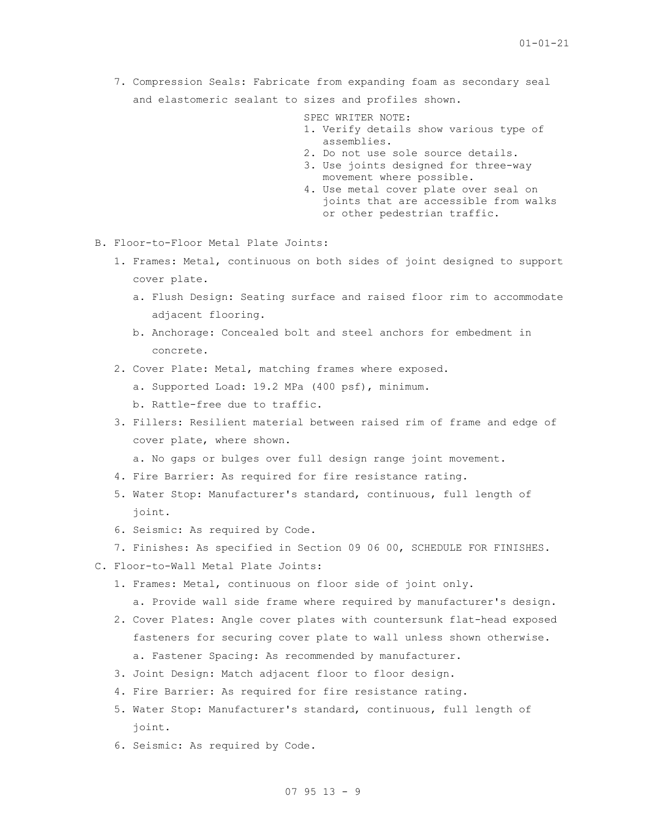7. Compression Seals: Fabricate from expanding foam as secondary seal and elastomeric sealant to sizes and profiles shown.

SPEC WRITER NOTE:

- 1. Verify details show various type of assemblies.
- 2. Do not use sole source details.
- 3. Use joints designed for three-way movement where possible.
- 4. Use metal cover plate over seal on joints that are accessible from walks or other pedestrian traffic.
- B. Floor-to-Floor Metal Plate Joints:
	- 1. Frames: Metal, continuous on both sides of joint designed to support cover plate.
		- a. Flush Design: Seating surface and raised floor rim to accommodate adjacent flooring.
		- b. Anchorage: Concealed bolt and steel anchors for embedment in concrete.
	- 2. Cover Plate: Metal, matching frames where exposed.
		- a. Supported Load: 19.2 MPa (400 psf), minimum.
		- b. Rattle-free due to traffic.
	- 3. Fillers: Resilient material between raised rim of frame and edge of cover plate, where shown.
		- a. No gaps or bulges over full design range joint movement.
	- 4. Fire Barrier: As required for fire resistance rating.
	- 5. Water Stop: Manufacturer's standard, continuous, full length of joint.
	- 6. Seismic: As required by Code.
	- 7. Finishes: As specified in Section 09 06 00, SCHEDULE FOR FINISHES.
- C. Floor-to-Wall Metal Plate Joints:
	- 1. Frames: Metal, continuous on floor side of joint only.

a. Provide wall side frame where required by manufacturer's design.

- 2. Cover Plates: Angle cover plates with countersunk flat-head exposed fasteners for securing cover plate to wall unless shown otherwise. a. Fastener Spacing: As recommended by manufacturer.
- 3. Joint Design: Match adjacent floor to floor design.
- 4. Fire Barrier: As required for fire resistance rating.
- 5. Water Stop: Manufacturer's standard, continuous, full length of joint.
- 6. Seismic: As required by Code.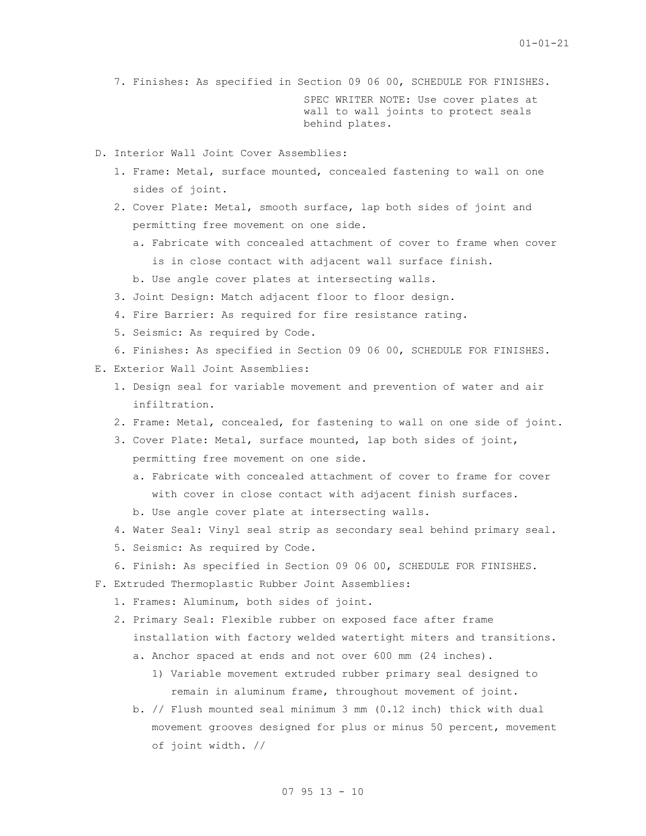7. Finishes: As specified in Section 09 06 00, SCHEDULE FOR FINISHES.

SPEC WRITER NOTE: Use cover plates at wall to wall joints to protect seals behind plates.

- D. Interior Wall Joint Cover Assemblies:
	- 1. Frame: Metal, surface mounted, concealed fastening to wall on one sides of joint.
	- 2. Cover Plate: Metal, smooth surface, lap both sides of joint and permitting free movement on one side.
		- a. Fabricate with concealed attachment of cover to frame when cover is in close contact with adjacent wall surface finish.
		- b. Use angle cover plates at intersecting walls.
	- 3. Joint Design: Match adjacent floor to floor design.
	- 4. Fire Barrier: As required for fire resistance rating.
	- 5. Seismic: As required by Code.
	- 6. Finishes: As specified in Section 09 06 00, SCHEDULE FOR FINISHES.
- E. Exterior Wall Joint Assemblies:
	- 1. Design seal for variable movement and prevention of water and air infiltration.
	- 2. Frame: Metal, concealed, for fastening to wall on one side of joint.
	- 3. Cover Plate: Metal, surface mounted, lap both sides of joint, permitting free movement on one side.
		- a. Fabricate with concealed attachment of cover to frame for cover with cover in close contact with adjacent finish surfaces.
		- b. Use angle cover plate at intersecting walls.
	- 4. Water Seal: Vinyl seal strip as secondary seal behind primary seal.
	- 5. Seismic: As required by Code.
	- 6. Finish: As specified in Section 09 06 00, SCHEDULE FOR FINISHES.
- F. Extruded Thermoplastic Rubber Joint Assemblies:
	- 1. Frames: Aluminum, both sides of joint.
	- 2. Primary Seal: Flexible rubber on exposed face after frame installation with factory welded watertight miters and transitions.
		- a. Anchor spaced at ends and not over 600 mm (24 inches).
			- 1) Variable movement extruded rubber primary seal designed to remain in aluminum frame, throughout movement of joint.
		- b. // Flush mounted seal minimum 3 mm (0.12 inch) thick with dual movement grooves designed for plus or minus 50 percent, movement of joint width. //

# 07 95 13 - 10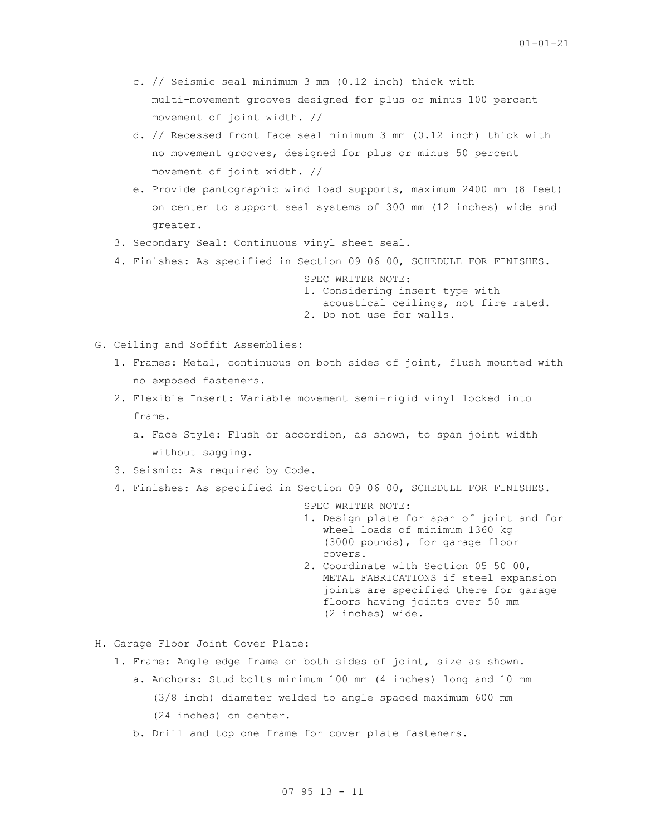- c. // Seismic seal minimum 3 mm (0.12 inch) thick with multi-movement grooves designed for plus or minus 100 percent movement of joint width. //
- d. // Recessed front face seal minimum 3 mm (0.12 inch) thick with no movement grooves, designed for plus or minus 50 percent movement of joint width. //
- e. Provide pantographic wind load supports, maximum 2400 mm (8 feet) on center to support seal systems of 300 mm (12 inches) wide and greater.
- 3. Secondary Seal: Continuous vinyl sheet seal.
- 4. Finishes: As specified in Section 09 06 00, SCHEDULE FOR FINISHES.

SPEC WRITER NOTE: 1. Considering insert type with acoustical ceilings, not fire rated.

2. Do not use for walls.

- G. Ceiling and Soffit Assemblies:
	- 1. Frames: Metal, continuous on both sides of joint, flush mounted with no exposed fasteners.
	- 2. Flexible Insert: Variable movement semi-rigid vinyl locked into frame.
		- a. Face Style: Flush or accordion, as shown, to span joint width without sagging.
	- 3. Seismic: As required by Code.
	- 4. Finishes: As specified in Section 09 06 00, SCHEDULE FOR FINISHES.

SPEC WRITER NOTE:

- 1. Design plate for span of joint and for wheel loads of minimum 1360 kg (3000 pounds), for garage floor covers.
- 2. Coordinate with Section 05 50 00, METAL FABRICATIONS if steel expansion joints are specified there for garage floors having joints over 50 mm (2 inches) wide.
- H. Garage Floor Joint Cover Plate:
	- 1. Frame: Angle edge frame on both sides of joint, size as shown.
		- a. Anchors: Stud bolts minimum 100 mm (4 inches) long and 10 mm (3/8 inch) diameter welded to angle spaced maximum 600 mm (24 inches) on center.
		- b. Drill and top one frame for cover plate fasteners.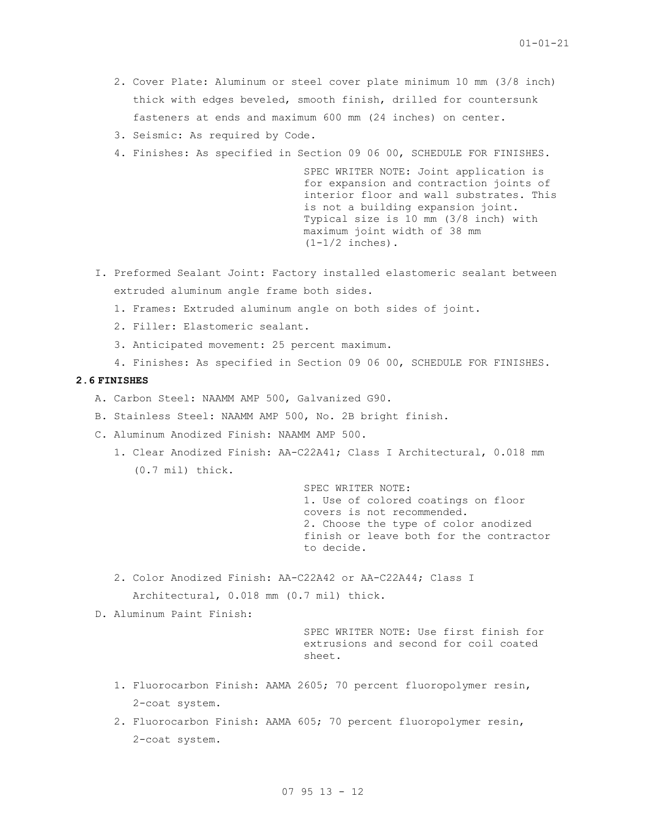- 2. Cover Plate: Aluminum or steel cover plate minimum 10 mm (3/8 inch) thick with edges beveled, smooth finish, drilled for countersunk fasteners at ends and maximum 600 mm (24 inches) on center.
- 3. Seismic: As required by Code.
- 4. Finishes: As specified in Section 09 06 00, SCHEDULE FOR FINISHES.

SPEC WRITER NOTE: Joint application is for expansion and contraction joints of interior floor and wall substrates. This is not a building expansion joint. Typical size is 10 mm (3/8 inch) with maximum joint width of 38 mm  $(1-1/2$  inches).

- I. Preformed Sealant Joint: Factory installed elastomeric sealant between extruded aluminum angle frame both sides.
	- 1. Frames: Extruded aluminum angle on both sides of joint.
	- 2. Filler: Elastomeric sealant.
	- 3. Anticipated movement: 25 percent maximum.
	- 4. Finishes: As specified in Section 09 06 00, SCHEDULE FOR FINISHES.

### **2.6 FINISHES**

- A. Carbon Steel: NAAMM AMP 500, Galvanized G90.
- B. Stainless Steel: NAAMM AMP 500, No. 2B bright finish.
- C. Aluminum Anodized Finish: NAAMM AMP 500.
	- 1. Clear Anodized Finish: AA-C22A41; Class I Architectural, 0.018 mm (0.7 mil) thick.

SPEC WRITER NOTE: 1. Use of colored coatings on floor covers is not recommended. 2. Choose the type of color anodized finish or leave both for the contractor to decide.

- 2. Color Anodized Finish: AA-C22A42 or AA-C22A44; Class I Architectural, 0.018 mm (0.7 mil) thick.
- D. Aluminum Paint Finish:

SPEC WRITER NOTE: Use first finish for extrusions and second for coil coated sheet.

- 1. Fluorocarbon Finish: AAMA 2605; 70 percent fluoropolymer resin, 2-coat system.
- 2. Fluorocarbon Finish: AAMA 605; 70 percent fluoropolymer resin, 2-coat system.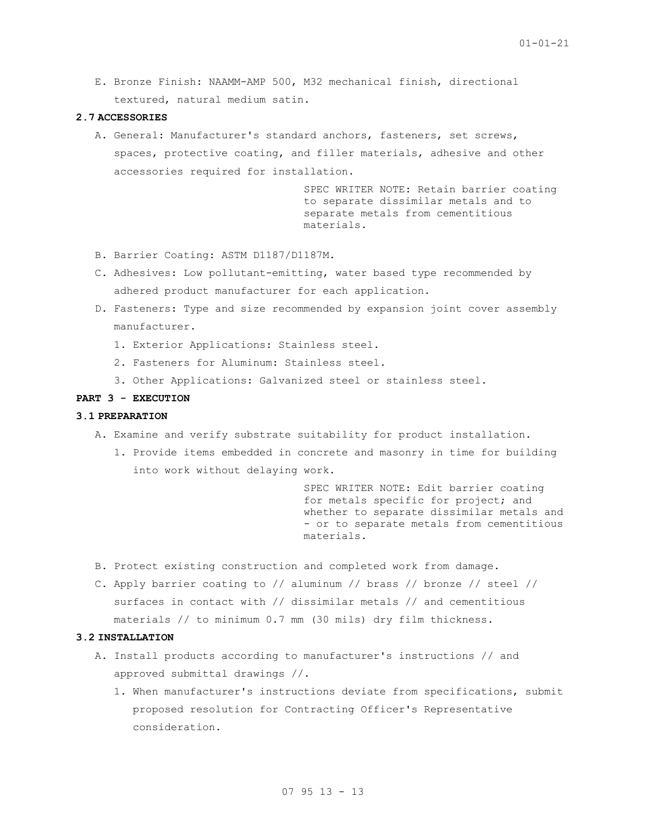E. Bronze Finish: NAAMM-AMP 500, M32 mechanical finish, directional textured, natural medium satin.

## **2.7 ACCESSORIES**

A. General: Manufacturer's standard anchors, fasteners, set screws, spaces, protective coating, and filler materials, adhesive and other accessories required for installation.

> SPEC WRITER NOTE: Retain barrier coating to separate dissimilar metals and to separate metals from cementitious materials.

- B. Barrier Coating: ASTM D1187/D1187M.
- C. Adhesives: Low pollutant-emitting, water based type recommended by adhered product manufacturer for each application.
- D. Fasteners: Type and size recommended by expansion joint cover assembly manufacturer.
	- 1. Exterior Applications: Stainless steel.
	- 2. Fasteners for Aluminum: Stainless steel.
	- 3. Other Applications: Galvanized steel or stainless steel.

### **PART 3 - EXECUTION**

## **3.1 PREPARATION**

- A. Examine and verify substrate suitability for product installation.
	- 1. Provide items embedded in concrete and masonry in time for building into work without delaying work.

SPEC WRITER NOTE: Edit barrier coating for metals specific for project; and whether to separate dissimilar metals and - or to separate metals from cementitious materials.

- B. Protect existing construction and completed work from damage.
- C. Apply barrier coating to // aluminum // brass // bronze // steel // surfaces in contact with // dissimilar metals // and cementitious materials // to minimum 0.7 mm (30 mils) dry film thickness.

### **3.2 INSTALLATION**

- A. Install products according to manufacturer's instructions // and approved submittal drawings //.
	- 1. When manufacturer's instructions deviate from specifications, submit proposed resolution for Contracting Officer's Representative consideration.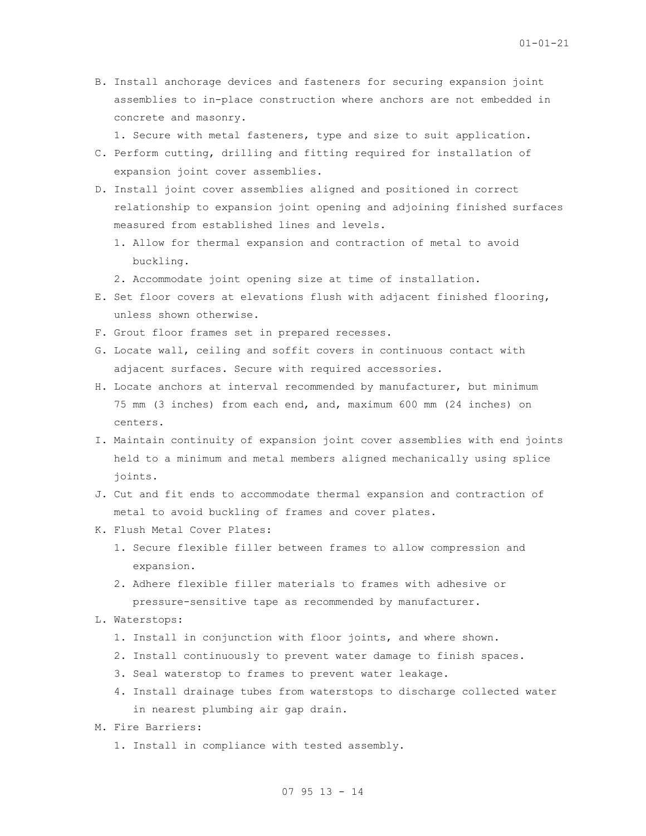B. Install anchorage devices and fasteners for securing expansion joint assemblies to in-place construction where anchors are not embedded in concrete and masonry.

1. Secure with metal fasteners, type and size to suit application.

- C. Perform cutting, drilling and fitting required for installation of expansion joint cover assemblies.
- D. Install joint cover assemblies aligned and positioned in correct relationship to expansion joint opening and adjoining finished surfaces measured from established lines and levels.
	- 1. Allow for thermal expansion and contraction of metal to avoid buckling.

2. Accommodate joint opening size at time of installation.

- E. Set floor covers at elevations flush with adjacent finished flooring, unless shown otherwise.
- F. Grout floor frames set in prepared recesses.
- G. Locate wall, ceiling and soffit covers in continuous contact with adjacent surfaces. Secure with required accessories.
- H. Locate anchors at interval recommended by manufacturer, but minimum 75 mm (3 inches) from each end, and, maximum 600 mm (24 inches) on centers.
- I. Maintain continuity of expansion joint cover assemblies with end joints held to a minimum and metal members aligned mechanically using splice joints.
- J. Cut and fit ends to accommodate thermal expansion and contraction of metal to avoid buckling of frames and cover plates.
- K. Flush Metal Cover Plates:
	- 1. Secure flexible filler between frames to allow compression and expansion.
	- 2. Adhere flexible filler materials to frames with adhesive or pressure-sensitive tape as recommended by manufacturer.
- L. Waterstops:
	- 1. Install in conjunction with floor joints, and where shown.
	- 2. Install continuously to prevent water damage to finish spaces.
	- 3. Seal waterstop to frames to prevent water leakage.
	- 4. Install drainage tubes from waterstops to discharge collected water in nearest plumbing air gap drain.
- M. Fire Barriers:
	- 1. Install in compliance with tested assembly.